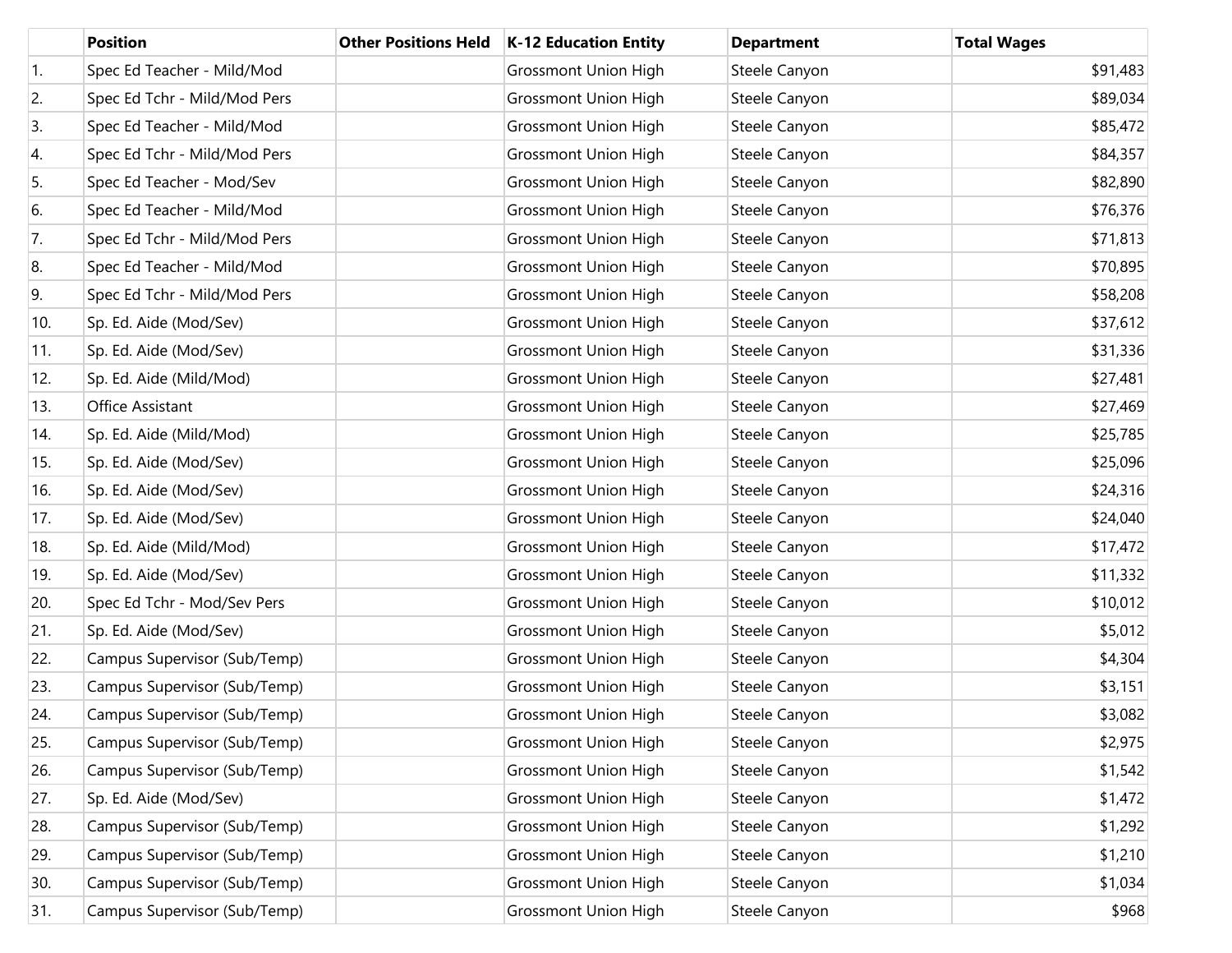|     | <b>Position</b>              | <b>Other Positions Held</b> | K-12 Education Entity       | <b>Department</b> | <b>Total Wages</b> |
|-----|------------------------------|-----------------------------|-----------------------------|-------------------|--------------------|
| 1.  | Spec Ed Teacher - Mild/Mod   |                             | <b>Grossmont Union High</b> | Steele Canyon     | \$91,483           |
| 2.  | Spec Ed Tchr - Mild/Mod Pers |                             | <b>Grossmont Union High</b> | Steele Canyon     | \$89,034           |
| 3.  | Spec Ed Teacher - Mild/Mod   |                             | <b>Grossmont Union High</b> | Steele Canyon     | \$85,472           |
| 4.  | Spec Ed Tchr - Mild/Mod Pers |                             | <b>Grossmont Union High</b> | Steele Canyon     | \$84,357           |
| 5.  | Spec Ed Teacher - Mod/Sev    |                             | <b>Grossmont Union High</b> | Steele Canyon     | \$82,890           |
| 6.  | Spec Ed Teacher - Mild/Mod   |                             | <b>Grossmont Union High</b> | Steele Canyon     | \$76,376           |
| 7.  | Spec Ed Tchr - Mild/Mod Pers |                             | <b>Grossmont Union High</b> | Steele Canyon     | \$71,813           |
| 8.  | Spec Ed Teacher - Mild/Mod   |                             | <b>Grossmont Union High</b> | Steele Canyon     | \$70,895           |
| 9.  | Spec Ed Tchr - Mild/Mod Pers |                             | <b>Grossmont Union High</b> | Steele Canyon     | \$58,208           |
| 10. | Sp. Ed. Aide (Mod/Sev)       |                             | <b>Grossmont Union High</b> | Steele Canyon     | \$37,612           |
| 11. | Sp. Ed. Aide (Mod/Sev)       |                             | <b>Grossmont Union High</b> | Steele Canyon     | \$31,336           |
| 12. | Sp. Ed. Aide (Mild/Mod)      |                             | <b>Grossmont Union High</b> | Steele Canyon     | \$27,481           |
| 13. | Office Assistant             |                             | <b>Grossmont Union High</b> | Steele Canyon     | \$27,469           |
| 14. | Sp. Ed. Aide (Mild/Mod)      |                             | <b>Grossmont Union High</b> | Steele Canyon     | \$25,785           |
| 15. | Sp. Ed. Aide (Mod/Sev)       |                             | <b>Grossmont Union High</b> | Steele Canyon     | \$25,096           |
| 16. | Sp. Ed. Aide (Mod/Sev)       |                             | <b>Grossmont Union High</b> | Steele Canyon     | \$24,316           |
| 17. | Sp. Ed. Aide (Mod/Sev)       |                             | <b>Grossmont Union High</b> | Steele Canyon     | \$24,040           |
| 18. | Sp. Ed. Aide (Mild/Mod)      |                             | <b>Grossmont Union High</b> | Steele Canyon     | \$17,472           |
| 19. | Sp. Ed. Aide (Mod/Sev)       |                             | <b>Grossmont Union High</b> | Steele Canyon     | \$11,332           |
| 20. | Spec Ed Tchr - Mod/Sev Pers  |                             | <b>Grossmont Union High</b> | Steele Canyon     | \$10,012           |
| 21. | Sp. Ed. Aide (Mod/Sev)       |                             | <b>Grossmont Union High</b> | Steele Canyon     | \$5,012            |
| 22. | Campus Supervisor (Sub/Temp) |                             | <b>Grossmont Union High</b> | Steele Canyon     | \$4,304            |
| 23. | Campus Supervisor (Sub/Temp) |                             | <b>Grossmont Union High</b> | Steele Canyon     | \$3,151            |
| 24. | Campus Supervisor (Sub/Temp) |                             | <b>Grossmont Union High</b> | Steele Canyon     | \$3,082            |
| 25. | Campus Supervisor (Sub/Temp) |                             | <b>Grossmont Union High</b> | Steele Canyon     | \$2,975            |
| 26. | Campus Supervisor (Sub/Temp) |                             | <b>Grossmont Union High</b> | Steele Canyon     | \$1,542            |
| 27. | Sp. Ed. Aide (Mod/Sev)       |                             | <b>Grossmont Union High</b> | Steele Canyon     | \$1,472            |
| 28. | Campus Supervisor (Sub/Temp) |                             | <b>Grossmont Union High</b> | Steele Canyon     | \$1,292            |
| 29. | Campus Supervisor (Sub/Temp) |                             | <b>Grossmont Union High</b> | Steele Canyon     | \$1,210            |
| 30. | Campus Supervisor (Sub/Temp) |                             | <b>Grossmont Union High</b> | Steele Canyon     | \$1,034            |
| 31. | Campus Supervisor (Sub/Temp) |                             | <b>Grossmont Union High</b> | Steele Canyon     | \$968              |